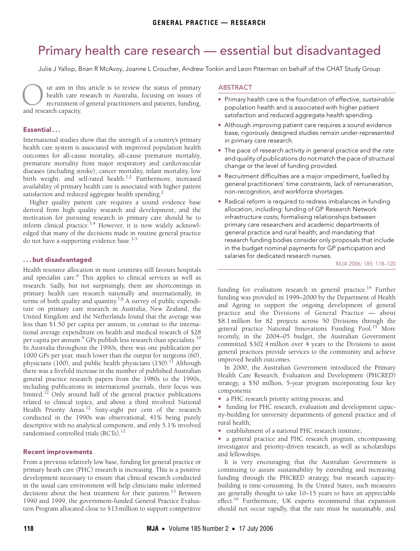# <span id="page-0-0"></span>Primary health care research — essential but disadvantaged

Julie J Yallop, Brian R McAvoy, Joanne L Croucher, Andrew Tonkin and Leon Piterman on behalf of the CHAT Study Group

ur aim in this article is to review the status of primary health care research in Australia, focusing on issues of recruitment of general practitioners and patients, funding, Ur aim in the health care in recruitment capacity.

### **Essential . . .**

 $T_{\text{t}}$  premature mortality from major respiratory and cardiovascular diseases (including stroke), cancer mortality, infant mortality, low discusses (incruding strone), calleer mortality, initial mortality, town weight, and se availability of primary health care is associated with higher patient International studies show that the strength of a country's primary health care system is associated with improved population health outcomes for all-cause mortality, all-cause premature mortality, satisfaction and reduced aggregate health spending.<sup>2</sup>

Higher quality patient care requires a sound evidence base derived from high quality research and development, and the motivation for pursuing research in primary care should be to inform clinical practice.<sup>[3](#page-2-2),[4](#page-2-3)</sup> However, it is now widely acknowledged that many of the decisions made in routine general practice do not have a supporting evidence base.<sup>[3](#page-2-2)[-5](#page-2-4)</sup>

## **. . . but disadvantaged**

Health resource allocation in most countries still favours hospitals and specialist care.<sup>6</sup> This applies to clinical services as well as research. Sadly, but not surprisingly, there are shortcomings in primary health care research nationally and internationally, in terms of both quality and quantity.<sup>[7,](#page-2-6)[8](#page-2-7)</sup> A survey of public expenditure on primary care research in Australia, New Zealand, the United Kingdom and the Netherlands found that the average was less than \$1.50 per capita per annum, in contrast to the international average expenditure on health and medical research of \$28 per capita per annum.<sup>9</sup> GPs publish less research than specialists.<sup>[10](#page-2-9)</sup> In Australia throughout the 1990s, there was one publication per 1000 GPs per year, much lower than the output for surgeons (60), physicians (100), and public health physicians (150).<sup>[11](#page-2-10)</sup> Although there was a fivefold increase in the number of published Australian general practice research papers from the 1980s to the 1990s, including publications in international journals, their focus was limited.<sup>[12](#page-2-11)</sup> Only around half of the general practice publications related to clinical topics, and about a third involved National Health Priority Areas.<sup>12</sup> Sixty-eight per cent of the research conducted in the 1990s was observational, 41% being purely descriptive with no analytical component, and only 5.1% involved randomised controlled trials (RCTs).<sup>[12](#page-2-11)</sup>

## **Recent improvements**

From a previous relatively low base, funding for general practice or primary heath care (PHC) research is increasing. This is a positive development necessary to ensure that clinical research conducted in the usual care environment will help clinicians make informed decisions about the best treatment for their patients.<sup>13</sup> Between 1990 and 1999, the government-funded General Practice Evaluation Program allocated close to \$13 million to support competitive

# ABSTRACT

- **•** Primary health care is the foundation of effective, sustainable population health and is associated with higher patient satisfaction and reduced aggregate health spending.
- **•** Although improving patient care requires a sound evidence base, rigorously designed studies remain under-represented in primary care research.
- **•** The pace of research activity in general practice and the rate and quality of publications do not match the pace of structural change or the level of funding provided.
- **•** Recruitment difficulties are a major impediment, fuelled by general practitioners' time constraints, lack of remuneration, non-recognition, and workforce shortages.
- **•** Radical reform is required to redress imbalances in funding allocation, including: funding of GP Research Network infrastructure costs; formalising relationships between primary care researchers and academic departments of general practice and rural health; and mandating that research funding bodies consider only proposals that include in the budget nominal payments for GP participation and salaries for dedicated research nurses.

MJA 2006; 185: 118–120

funding for evaluation research in general practice.<sup>14</sup> Further funding was provided in 1999–2000 by the Department of Health and Ageing to support the ongoing development of general practice and the Divisions of General Practice — about \$8.1 million for 82 projects across 50 Divisions through the general practice National Innovations Funding Pool.<sup>15</sup> More recently, in the 2004–05 budget, the Australian Government committed \$302.4 million over 4 years to the Divisions to assist general practices provide services to the community and achieve improved health outcomes.

In 2000, the Australian Government introduced the Primary Health Care Research, Evaluation and Development (PHCRED) strategy, a \$50 million, 5-year program incorporating four key components:

**•** a PHC research priority setting process; and

**•** funding for PHC research, evaluation and development capacity-building for university departments of general practice and of rural health;

**•** establishment of a national PHC research institute;

**•** a general practice and PHC research program, encompassing investigator and priority-driven research, as well as scholarships and fellowships.

It is very encouraging that the Australian Government is continuing to assure sustainability by extending and increasing funding through the PHCRED strategy, but research capacitybuilding is time-consuming. In the United States, such measures are generally thought to take 10–15 years to have an appreciable effect.<sup>16</sup> Furthermore, UK experts recommend that expansion should not occur rapidly, that the rate must be sustainable, and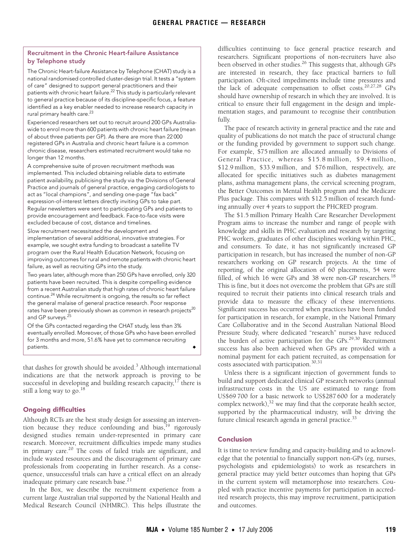#### **Recruitment in the Chronic Heart-failure Assistance by Telephone study**

The Chronic Heart-failure Assistance by Telephone (CHAT) study is a national randomised controlled cluster-design trial. It tests a "system of care" designed to support general practitioners and their patients with chronic heart failure.[22](#page-2-19) This study is particularly relevant to general practice because of its discipline-specific focus, a feature identified as a key enabler needed to increase research capacity in rural primary health care.[23](#page-2-20)

Experienced researchers set out to recruit around 200 GPs Australiawide to enrol more than 600 patients with chronic heart failure (mean of about three patients per GP). As there are more than 22 000 registered GPs in Australia and chronic heart failure is a common chronic disease, researchers estimated recruitment would take no longer than 12 months.

A comprehensive suite of proven recruitment methods was implemented. This included obtaining reliable data to estimate patient availability, publicising the study via the Divisions of General Practice and journals of general practice, engaging cardiologists to act as "local champions", and sending one-page "fax back" expression-of-interest letters directly inviting GPs to take part. Regular newsletters were sent to participating GPs and patients to provide encouragement and feedback. Face-to-face visits were excluded because of cost, distance and timelines.

Slow recruitment necessitated the development and implementation of several additional, innovative strategies. For example, we sought extra funding to broadcast a satellite TV program over the Rural Health Education Network, focusing on improving outcomes for rural and remote patients with chronic heart failure, as well as recruiting GPs into the study.

Two years later, although more than 250 GPs have enrolled, only 320 patients have been recruited. This is despite compelling evidence from a recent Australian study that high rates of chronic heart failure continue.<sup>24</sup> While recruitment is ongoing, the results so far reflect the general malaise of general practice research. Poor response rates have been previously shown as common in research projects<sup>20</sup> and GP surveys.<sup>[25](#page-2-23)</sup>

Of the GPs contacted regarding the CHAT study, less than 3% eventually enrolled. Moreover, of those GPs who have been enrolled for 3 months and more, 51.6% have yet to commence recruiting patients.

that dashes for growth should be avoided.<sup>3</sup> Although international indications are that the network approach is proving to be successful in developing and building research capacity, $17$  there is still a long way to go. $18$ 

#### **Ongoing difficulties**

Although RCTs are the best study design for assessing an intervention because they reduce confounding and bias, $19$  rigorously designed studies remain under-represented in primary care research. Moreover, recruitment difficulties impede many studies in primary care.[20](#page-2-22) The costs of failed trials are significant, and include wasted resources and the discouragement of primary care professionals from cooperating in further research. As a consequence, unsuccessful trials can have a critical effect on an already inadequate primary care research base.<sup>21</sup>

In the Box, we describe the recruitment experience from a current large Australian trial supported by the National Health and Medical Research Council (NHMRC). This helps illustrate the

difficulties continuing to face general practice research and researchers. Significant proportions of non-recruiters have also been observed in other studies.<sup>26</sup> This suggests that, although GPs are interested in research, they face practical barriers to full participation. Oft-cited impediments include time pressures and the lack of adequate compensation to offset costs.<sup>[20](#page-2-22)[,27](#page-2-27),28</sup> GPs should have ownership of research in which they are involved. It is critical to ensure their full engagement in the design and implementation stages, and paramount to recognise their contribution fully.

The pace of research activity in general practice and the rate and quality of publications do not match the pace of structural change or the funding provided by government to support such change. For example, \$75 million are allocated annually to Divisions of General Practice, whereas \$15.8 million, \$9.4 million, \$12.9 million, \$33.9 million, and \$76 million, respectively, are allocated for specific initiatives such as diabetes management plans, asthma management plans, the cervical screening program, the Better Outcomes in Mental Health program and the Medicare Plus package. This compares with \$12.5 million of research funding annually over 4 years to support the PHCRED program.

The \$1.5 million Primary Health Care Researcher Development Program aims to increase the number and range of people with knowledge and skills in PHC evaluation and research by targeting PHC workers, graduates of other disciplines working within PHC, and consumers. To date, it has not significantly increased GP participation in research, but has increased the number of non-GP researchers working on GP research projects. At the time of reporting, of the original allocation of 60 placements, 54 were filled, of which 16 were GPs and 38 were non-GP researchers.<sup>[18](#page-2-18)</sup> This is fine, but it does not overcome the problem that GPs are still required to recruit their patients into clinical research trials and provide data to measure the efficacy of these interventions. Significant success has occurred when practices have been funded for participation in research, for example, in the National Primary Care Collaborative and in the Second Australian National Blood Pressure Study, where dedicated "research" nurses have reduced the burden of active participation for the GPs.<sup>[29,](#page-2-29)[30](#page-2-30)</sup> Recruitment success has also been achieved when GPs are provided with a nominal payment for each patient recruited, as compensation for costs associated with participation.[30](#page-2-30),[31](#page-2-31)

Unless there is a significant injection of government funds to build and support dedicated clinical GP research networks (annual infrastructure costs in the US are estimated to range from US\$69 700 for a basic network to US\$287 600 for a moderately complex network),<sup>32</sup> we may find that the corporate health sector, supported by the pharmaceutical industry, will be driving the future clinical research agenda in general practice. $33$ 

#### **Conclusion**

It is time to review funding and capacity-building and to acknowledge that the potential to financially support non-GPs (eg, nurses, psychologists and epidemiologists) to work as researchers in general practice may yield better outcomes than hoping that GPs in the current system will metamorphose into researchers. Coupled with practice incentive payments for participation in accredited research projects, this may improve recruitment, participation and outcomes.